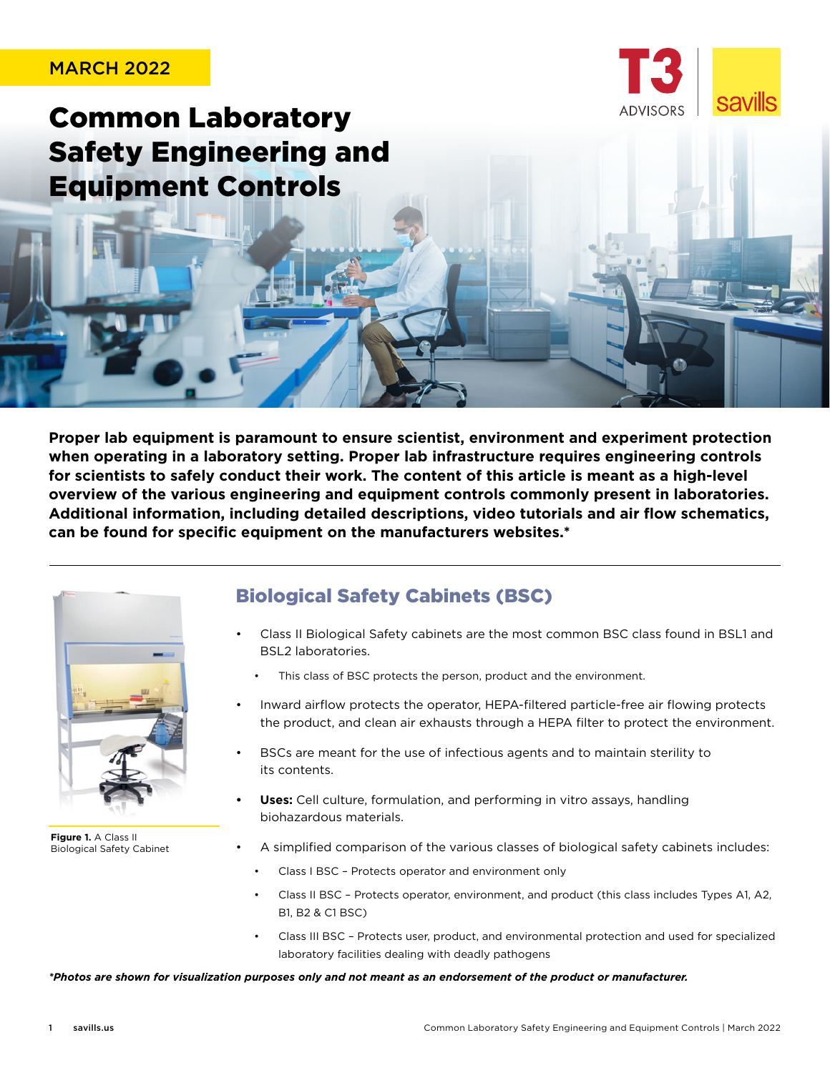#### MARCH 2022



Common Laboratory Safety Engineering and Equipment Controls

**Proper lab equipment is paramount to ensure scientist, environment and experiment protection when operating in a laboratory setting. Proper lab infrastructure requires engineering controls for scientists to safely conduct their work. The content of this article is meant as a high-level overview of the various engineering and equipment controls commonly present in laboratories. Additional information, including detailed descriptions, video tutorials and air flow schematics, can be found for specific equipment on the manufacturers websites.\***



**Figure 1.** A Class II Biological Safety Cabinet

### Biological Safety Cabinets (BSC)

- Class II Biological Safety cabinets are the most common BSC class found in BSL1 and BSL2 laboratories.
	- This class of BSC protects the person, product and the environment.
- Inward airflow protects the operator, HEPA-filtered particle-free air flowing protects the product, and clean air exhausts through a HEPA filter to protect the environment.
- BSCs are meant for the use of infectious agents and to maintain sterility to its contents.
- **• Uses:** Cell culture, formulation, and performing in vitro assays, handling biohazardous materials.
- A simplified comparison of the various classes of biological safety cabinets includes:
	- Class I BSC Protects operator and environment only
	- Class II BSC Protects operator, environment, and product (this class includes Types A1, A2, B1, B2 & C1 BSC)
		- Class III BSC Protects user, product, and environmental protection and used for specialized laboratory facilities dealing with deadly pathogens

*\*Photos are shown for visualization purposes only and not meant as an endorsement of the product or manufacturer.*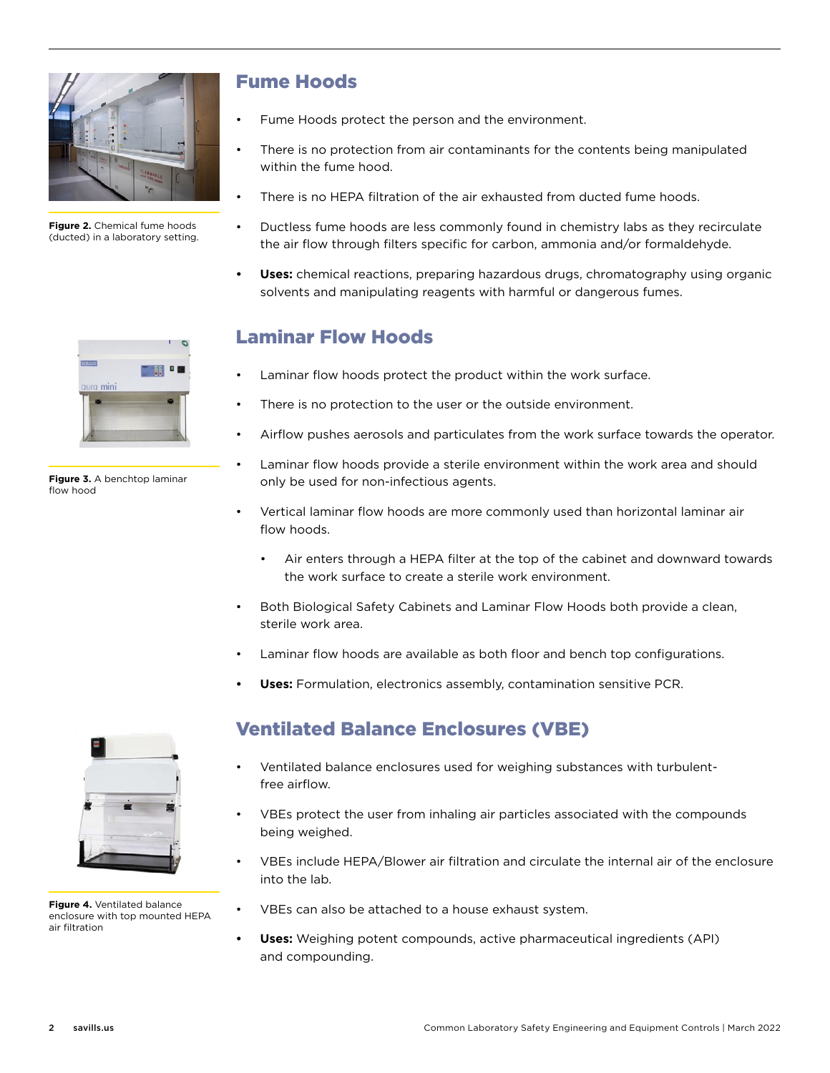

**Figure 2.** Chemical fume hoods (ducted) in a laboratory setting.

| <b>. .</b> |
|------------|
|            |
|            |
|            |
|            |
|            |

**Figure 3.** A benchtop laminar flow hood

# Fume Hoods

- Fume Hoods protect the person and the environment.
- There is no protection from air contaminants for the contents being manipulated within the fume hood.
- There is no HEPA filtration of the air exhausted from ducted fume hoods.
- Ductless fume hoods are less commonly found in chemistry labs as they recirculate the air flow through filters specific for carbon, ammonia and/or formaldehyde.
- **• Uses:** chemical reactions, preparing hazardous drugs, chromatography using organic solvents and manipulating reagents with harmful or dangerous fumes.

### Laminar Flow Hoods

- Laminar flow hoods protect the product within the work surface.
- There is no protection to the user or the outside environment.
- Airflow pushes aerosols and particulates from the work surface towards the operator.
- Laminar flow hoods provide a sterile environment within the work area and should only be used for non-infectious agents.
- Vertical laminar flow hoods are more commonly used than horizontal laminar air flow hoods.
	- Air enters through a HEPA filter at the top of the cabinet and downward towards the work surface to create a sterile work environment.
- Both Biological Safety Cabinets and Laminar Flow Hoods both provide a clean, sterile work area.
- Laminar flow hoods are available as both floor and bench top configurations.
- **• Uses:** Formulation, electronics assembly, contamination sensitive PCR.



**Figure 4.** Ventilated balance enclosure with top mounted HEPA air filtration

# Ventilated Balance Enclosures (VBE)

- Ventilated balance enclosures used for weighing substances with turbulentfree airflow.
- VBEs protect the user from inhaling air particles associated with the compounds being weighed.
- VBEs include HEPA/Blower air filtration and circulate the internal air of the enclosure into the lab.
- VBEs can also be attached to a house exhaust system.
- **• Uses:** Weighing potent compounds, active pharmaceutical ingredients (API) and compounding.